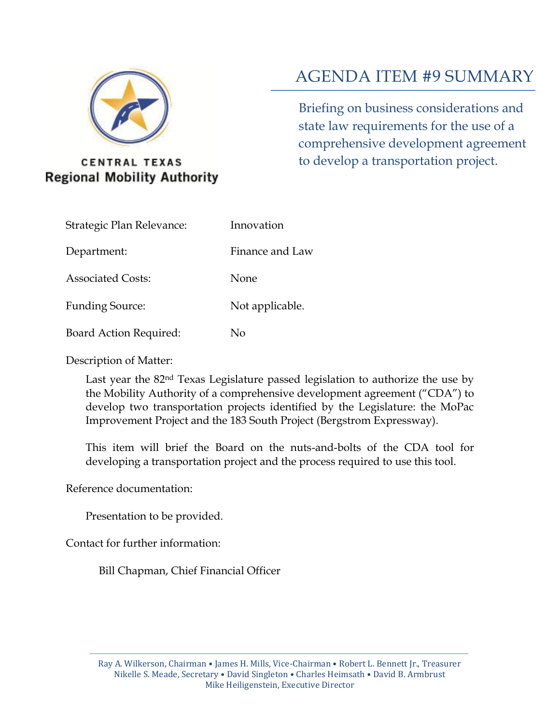

#### **CENTRAL TEXAS Regional Mobility Authority**

### AGENDA ITEM #9 SUMMARY

Briefing on business considerations and state law requirements for the use of a comprehensive development agreement to develop a transportation project.

| Strategic Plan Relevance: | Innovation      |
|---------------------------|-----------------|
| Department:               | Finance and Law |
| <b>Associated Costs:</b>  | None            |
| <b>Funding Source:</b>    | Not applicable. |
|                           |                 |

Board Action Required: No

Description of Matter:

Last year the 82nd Texas Legislature passed legislation to authorize the use by the Mobility Authority of a comprehensive development agreement ("CDA") to develop two transportation projects identified by the Legislature: the MoPac Improvement Project and the 183 South Project (Bergstrom Expressway).

This item will brief the Board on the nuts-and-bolts of the CDA tool for developing a transportation project and the process required to use this tool.

Reference documentation:

Presentation to be provided.

Contact for further information:

Bill Chapman, Chief Financial Officer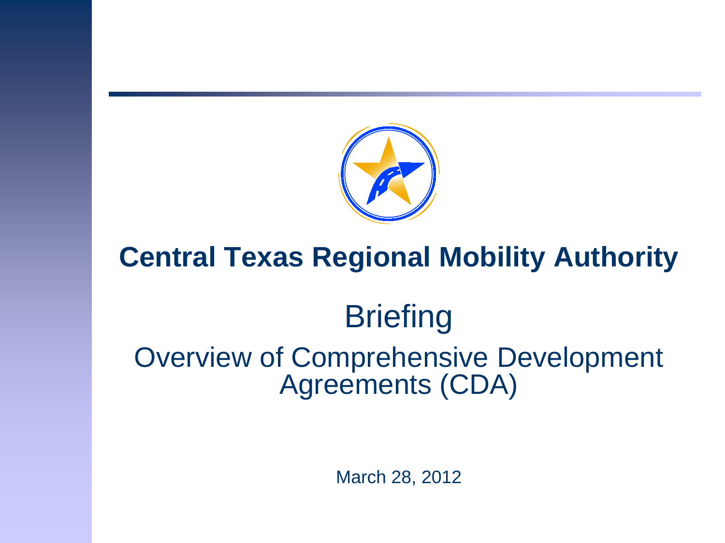

## **Central Texas Regional Mobility Authority**

# **Briefing**

Overview of Comprehensive Development Agreements (CDA)

March 28, 2012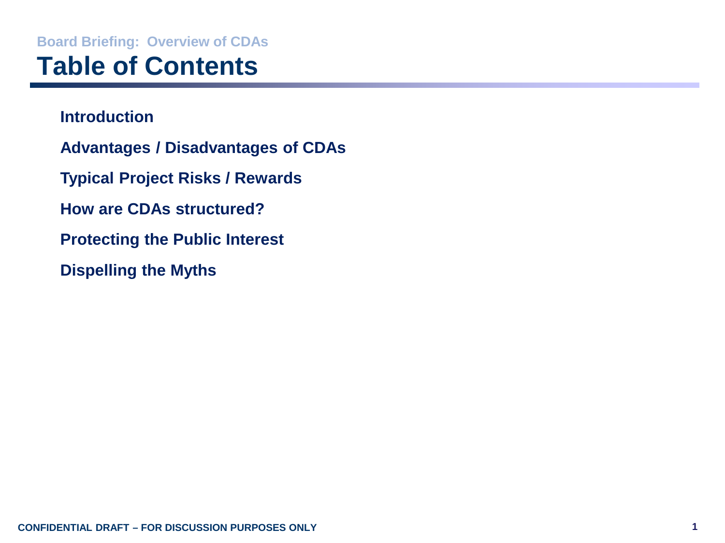## **Board Briefing: Overview of CDAs Table of Contents**

**Introduction Advantages / Disadvantages of CDAs Typical Project Risks / Rewards How are CDAs structured? Protecting the Public Interest Dispelling the Myths**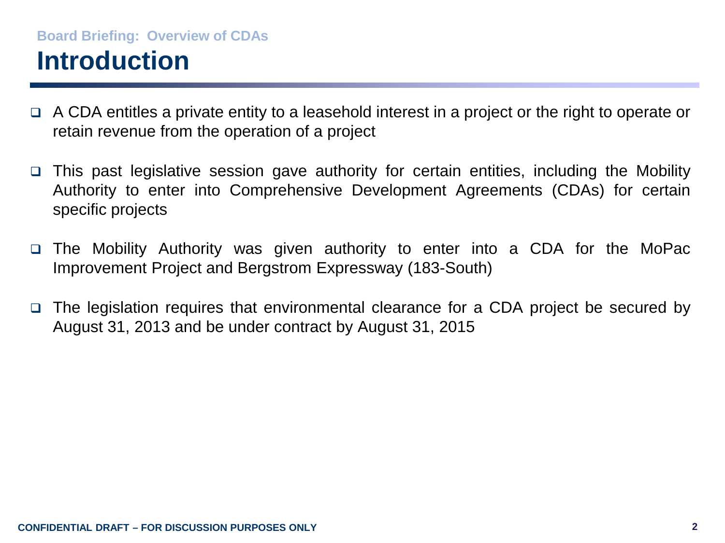### **Board Briefing: Overview of CDAs Introduction**

- $\Box$  A CDA entitles a private entity to a leasehold interest in a project or the right to operate or retain revenue from the operation of a project
- This past legislative session gave authority for certain entities, including the Mobility Authority to enter into Comprehensive Development Agreements (CDAs) for certain specific projects
- The Mobility Authority was given authority to enter into a CDA for the MoPac Improvement Project and Bergstrom Expressway (183-South)
- $\Box$  The legislation requires that environmental clearance for a CDA project be secured by August 31, 2013 and be under contract by August 31, 2015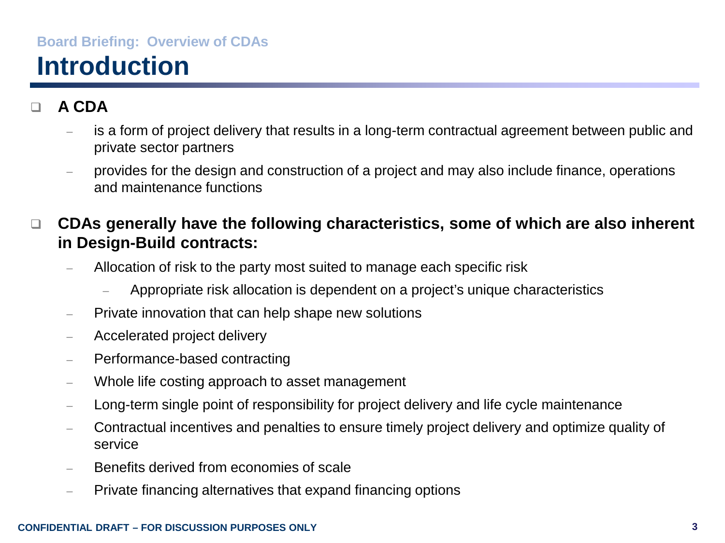## **Board Briefing: Overview of CDAs Introduction**

#### **A CDA**

- is a form of project delivery that results in a long-term contractual agreement between public and private sector partners
- provides for the design and construction of a project and may also include finance, operations and maintenance functions

#### **CDAs generally have the following characteristics, some of which are also inherent in Design-Build contracts:**

- Allocation of risk to the party most suited to manage each specific risk
	- Appropriate risk allocation is dependent on a project's unique characteristics
- Private innovation that can help shape new solutions
- Accelerated project delivery
- Performance-based contracting
- Whole life costing approach to asset management
- Long-term single point of responsibility for project delivery and life cycle maintenance
- Contractual incentives and penalties to ensure timely project delivery and optimize quality of service
- Benefits derived from economies of scale
- Private financing alternatives that expand financing options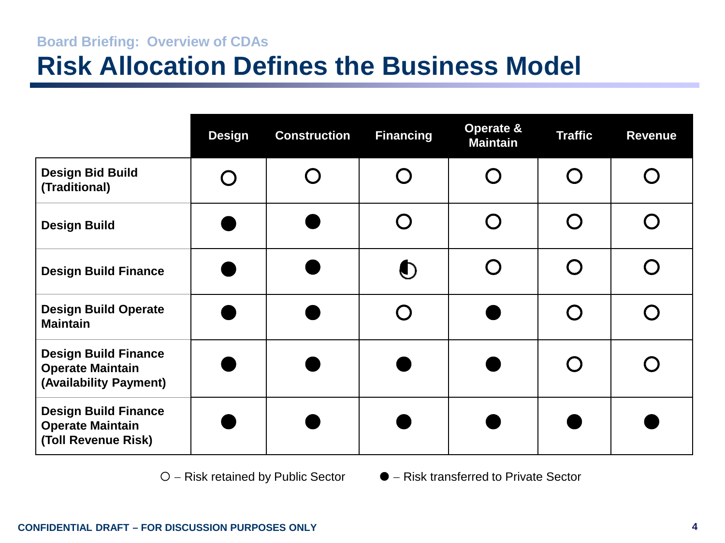### **Board Briefing: Overview of CDAs Risk Allocation Defines the Business Model**

|                                                                                  | <b>Design</b> | <b>Construction</b> | <b>Financing</b> | Operate &<br><b>Maintain</b> | <b>Traffic</b> | <b>Revenue</b> |
|----------------------------------------------------------------------------------|---------------|---------------------|------------------|------------------------------|----------------|----------------|
| <b>Design Bid Build</b><br>(Traditional)                                         |               |                     |                  |                              |                |                |
| <b>Design Build</b>                                                              |               |                     |                  |                              |                |                |
| <b>Design Build Finance</b>                                                      |               |                     | $\bullet$        |                              |                |                |
| <b>Design Build Operate</b><br><b>Maintain</b>                                   |               |                     |                  |                              |                |                |
| <b>Design Build Finance</b><br><b>Operate Maintain</b><br>(Availability Payment) |               |                     |                  |                              |                |                |
| <b>Design Build Finance</b><br><b>Operate Maintain</b><br>(Toll Revenue Risk)    |               |                     |                  |                              |                |                |

− Risk retained by Public Sector − Risk transferred to Private Sector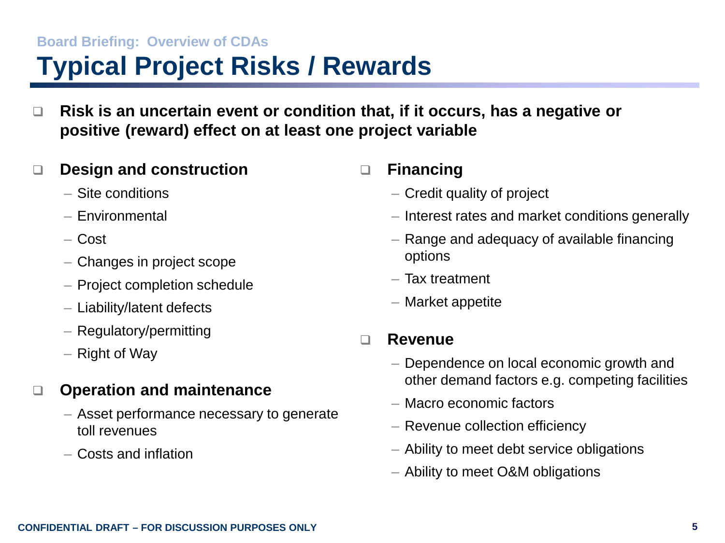#### **Board Briefing: Overview of CDAs**

## **Typical Project Risks / Rewards**

 **Risk is an uncertain event or condition that, if it occurs, has a negative or positive (reward) effect on at least one project variable**

#### **Design and construction**

- Site conditions
- Environmental
- Cost
- Changes in project scope
- Project completion schedule
- Liability/latent defects
- Regulatory/permitting
- Right of Way

#### **Operation and maintenance**

- Asset performance necessary to generate toll revenues
- Costs and inflation

#### **Financing**

- Credit quality of project
- Interest rates and market conditions generally
- Range and adequacy of available financing options
- Tax treatment
- Market appetite

#### **Revenue**

- Dependence on local economic growth and other demand factors e.g. competing facilities
- Macro economic factors
- Revenue collection efficiency
- Ability to meet debt service obligations
- Ability to meet O&M obligations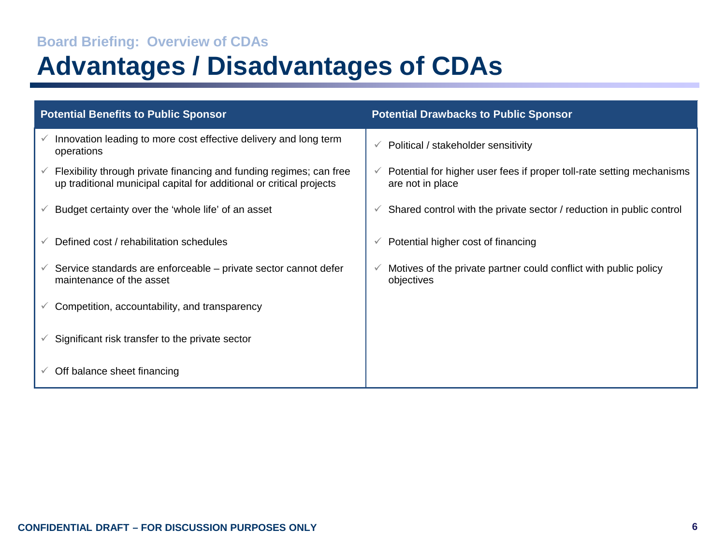#### **Board Briefing: Overview of CDAs**

## **Advantages / Disadvantages of CDAs**

| <b>Potential Benefits to Public Sponsor</b> |                                                                                                                                             | <b>Potential Drawbacks to Public Sponsor</b> |                                                                                           |  |
|---------------------------------------------|---------------------------------------------------------------------------------------------------------------------------------------------|----------------------------------------------|-------------------------------------------------------------------------------------------|--|
|                                             | Innovation leading to more cost effective delivery and long term<br>operations                                                              |                                              | Political / stakeholder sensitivity                                                       |  |
|                                             | Flexibility through private financing and funding regimes; can free<br>up traditional municipal capital for additional or critical projects |                                              | Potential for higher user fees if proper toll-rate setting mechanisms<br>are not in place |  |
| v                                           | Budget certainty over the 'whole life' of an asset                                                                                          |                                              | Shared control with the private sector / reduction in public control                      |  |
|                                             | Defined cost / rehabilitation schedules                                                                                                     |                                              | Potential higher cost of financing                                                        |  |
|                                             | $\checkmark$ Service standards are enforceable – private sector cannot defer<br>maintenance of the asset                                    |                                              | Motives of the private partner could conflict with public policy<br>objectives            |  |
|                                             | Competition, accountability, and transparency                                                                                               |                                              |                                                                                           |  |
|                                             | $\checkmark$ Significant risk transfer to the private sector                                                                                |                                              |                                                                                           |  |
|                                             | Off balance sheet financing                                                                                                                 |                                              |                                                                                           |  |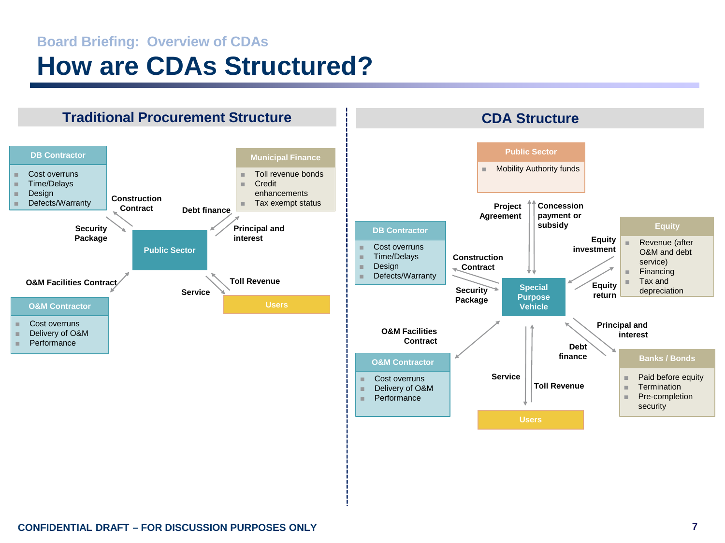### **Board Briefing: Overview of CDAs How are CDAs Structured?**

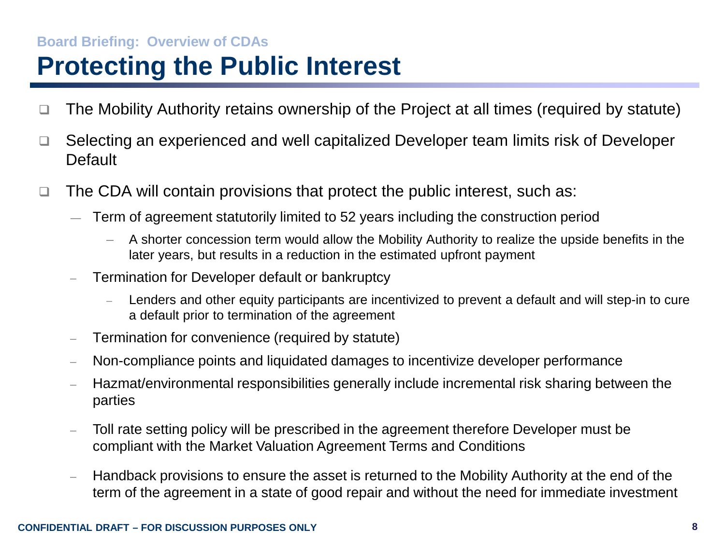#### **Board Briefing: Overview of CDAs**

## **Protecting the Public Interest**

- $\Box$  The Mobility Authority retains ownership of the Project at all times (required by statute)
- □ Selecting an experienced and well capitalized Developer team limits risk of Developer **Default**
- $\Box$  The CDA will contain provisions that protect the public interest, such as:
	- ― Term of agreement statutorily limited to 52 years including the construction period
		- A shorter concession term would allow the Mobility Authority to realize the upside benefits in the later years, but results in a reduction in the estimated upfront payment
	- Termination for Developer default or bankruptcy
		- Lenders and other equity participants are incentivized to prevent a default and will step-in to cure a default prior to termination of the agreement
	- Termination for convenience (required by statute)
	- Non-compliance points and liquidated damages to incentivize developer performance
	- Hazmat/environmental responsibilities generally include incremental risk sharing between the parties
	- Toll rate setting policy will be prescribed in the agreement therefore Developer must be compliant with the Market Valuation Agreement Terms and Conditions
	- Handback provisions to ensure the asset is returned to the Mobility Authority at the end of the term of the agreement in a state of good repair and without the need for immediate investment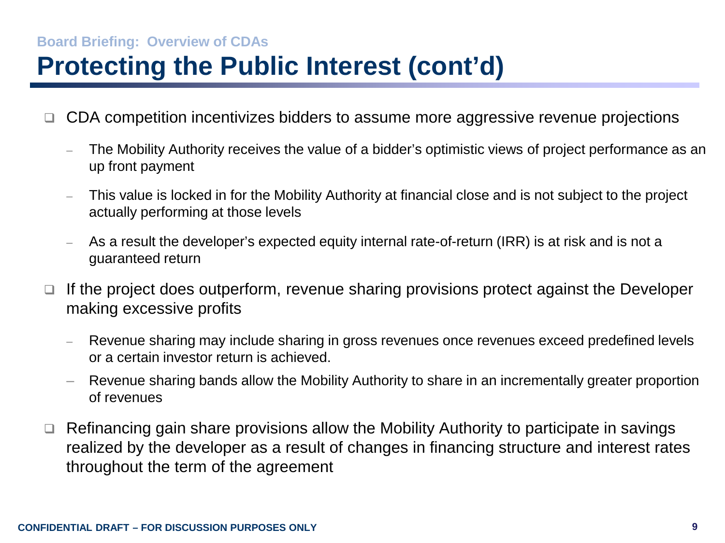### **Board Briefing: Overview of CDAs Protecting the Public Interest (cont'd)**

- CDA competition incentivizes bidders to assume more aggressive revenue projections
	- The Mobility Authority receives the value of a bidder's optimistic views of project performance as an up front payment
	- This value is locked in for the Mobility Authority at financial close and is not subject to the project actually performing at those levels
	- As a result the developer's expected equity internal rate-of-return (IRR) is at risk and is not a guaranteed return
- $\Box$  If the project does outperform, revenue sharing provisions protect against the Developer making excessive profits
	- Revenue sharing may include sharing in gross revenues once revenues exceed predefined levels or a certain investor return is achieved.
	- Revenue sharing bands allow the Mobility Authority to share in an incrementally greater proportion of revenues
- $\Box$  Refinancing gain share provisions allow the Mobility Authority to participate in savings realized by the developer as a result of changes in financing structure and interest rates throughout the term of the agreement